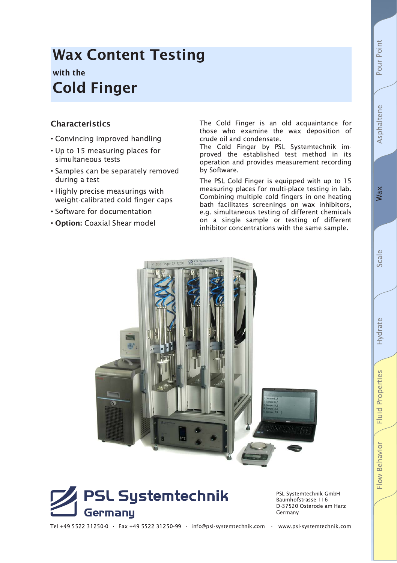# **Wax**

# Fluid Properties Flow Behavior

# **Wax Content Testing**

### with the **Cold Finger**

#### **Characteristics**

- Convincing improved handling
- Up to 15 measuring places for simultaneous tests
- Samples can be separately removed during a test
- Highly precise measurings with weight-calibrated cold finger caps
- Software for documentation
- . Option: Coaxial Shear model

The Cold Finger is an old acquaintance for those who examine the wax deposition of crude oil and condensate.

The Cold Finger by PSL Systemtechnik improved the established test method in its operation and provides measurement recording by Software.

The PSL Cold Finger is equipped with up to 15 measuring places for multi-place testing in lab. Combining multiple cold fingers in one heating bath facilitates screenings on wax inhibitors, e.g. simultaneous testing of different chemicals on a single sample or testing of different inhibitor concentrations with the same sample.





PSL Systemtechnik GmbH Baumhofstrasse 116 D-37520 Osterode am Harz Germany

Tel +49 5522 31250-0 · Fax +49 5522 31250-99 · info@psl-systemtechnik.com · www.psl-systemtechnik.com